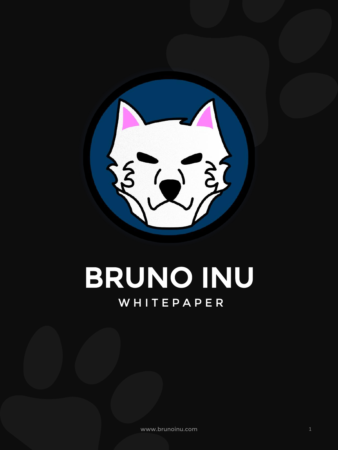

## BRUNO INU W H I T E P A P E R

www.brunoinu.com 1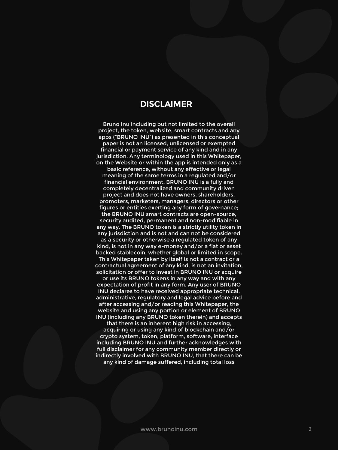#### DISCLAIMER

Bruno Inu including but not limited to the overall project, the token, website, smart contracts and any apps ("BRUNO INU") as presented in this conceptual paper is not an licensed, unlicensed or exempted financial or payment service of any kind and in any jurisdiction. Any terminology used in this Whitepaper, on the Website or within the app is intended only as a basic reference, without any effective or legal meaning of the same terms in a regulated and/or financial environment. BRUNO INU is a fully and completely decentralized and community driven project and does not have owners, shareholders, promoters, marketers, managers, directors or other figures or entities exerting any form of governance; the BRUNO INU smart contracts are open-source, security audited, permanent and non-modifiable in any way. The BRUNO token is a strictly utility token in any jurisdiction and is not and can not be considered as a security or otherwise a regulated token of any kind, is not in any way e-money and/or a fiat or asset backed stablecoin, whether global or limited in scope. This Whitepaper taken by itself is not a contract or a contractual agreement of any kind, is not an invitation, solicitation or offer to invest in BRUNO INU or acquire or use its BRUNO tokens in any way and with any

expectation of profit in any form. Any user of BRUNO INU declares to have received appropriate technical, administrative, regulatory and legal advice before and after accessing and/or reading this Whitepaper, the website and using any portion or element of BRUNO INU (including any BRUNO token therein) and accepts that there is an inherent high risk in accessing, acquiring or using any kind of blockchain and/or crypto system, token, platform, software, interface including BRUNO INU and further acknowledges with full disclaimer for any community member directly or indirectly involved with BRUNO INU, that there can be any kind of damage suffered, including total loss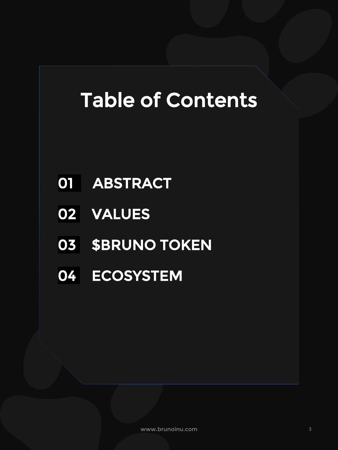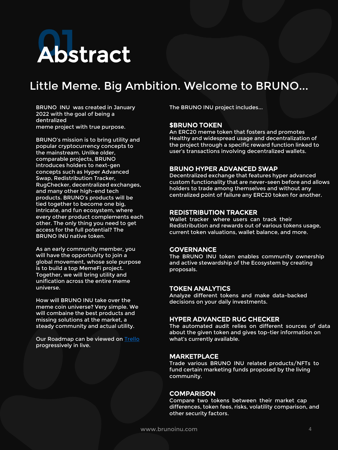

#### Little Meme. Big Ambition. Welcome to BRUNO...

BRUNO INU was created in January 2022 with the goal of being a dentralized meme project with true purpose.

BRUNO's mission is to bring utility and popular cryptocurrency concepts to the mainstream. Unlike older, comparable projects, BRUNO introduces holders to next-gen concepts such as Hyper Advanced Swap, Redistribution Tracker, RugChecker, decentralized exchanges, and many other high-end tech products. BRUNO's products will be tied together to become one big, intricate, and fun ecosystem, where every other product complements each other. The only thing you need to get access for the full potential? The BRUNO INU native token.

As an early community member, you will have the opportunity to join a global movement, whose sole purpose is to build a top MemeFi project. Together, we will bring utility and unification across the entire meme universe.

How will BRUNO INU take over the meme coin universe? Very simple. We will combaine the best products and missing solutions at the market, a steady community and actual utility.

Our Roadmap can be viewed on [Trello](https://trello.com/b/WbjdBqoR/bruno-inu-development-marketing) progressively in live.

The BRUNO INU project includes...

#### \$BRUNO TOKEN

An ERC20 meme token that fosters and promotes Healthy and widespread usage and decentralization of the project through a specific reward function linked to user's transactions involving decentralized wallets.

#### BRUNO HYPER ADVANCED SWAP

Decentralized exchange that features hyper advanced custom functionality that are never-seen before and allows holders to trade among themselves and without any centralized point of failure any ERC20 token for another.

#### REDISTRIBUTION TRACKER

Wallet tracker where users can track their Redistribution and rewards out of various tokens usage, current token valuations, wallet balance, and more.

#### **GOVERNANCE**

The BRUNO INU token enables community ownership and active stewardship of the Ecosystem by creating proposals.

#### TOKEN ANALYTICS

Analyze different tokens and make data-backed decisions on your daily investments.

#### HYPER ADVANCED RUG CHECKER

The automated audit relies on different sources of data about the given token and gives top-tier information on what's currently available.

#### MARKETPLACE

Trade various BRUNO INU related products/NFTs to fund certain marketing funds proposed by the living community.

#### **COMPARISON**

Compare two tokens between their market cap differences, token fees, risks, volatility comparison, and other security factors.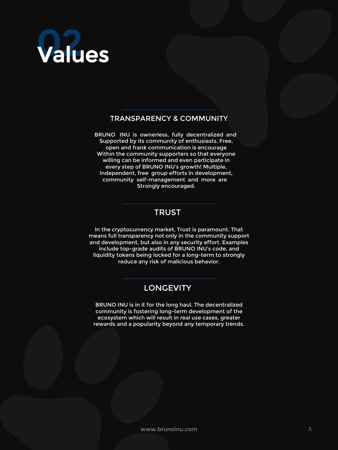

#### TRANSPARENCY & COMMUNITY

BRUNO INU is ownerless, fully decentralized and Supported by its community of enthusiasts. Free, open and frank communication is encourage Within the community supporters so that everyone willing can be informed and even participate in every step of BRUNO INU's growth! Multiple, Independent, free group efforts in development, community self-management and more are Strongly encouraged.

#### TRUST

In the cryptocurrency market, Trust is paramount. That means full transparency not only in the community support and development, but also in any security effort. Examples include top-grade audits of BRUNO INU's code, and liquidity tokens being locked for a long-term to strongly reduce any risk of malicious behavior.

#### **LONGEVITY**

BRUNO INU is in it for the long haul. The decentralized community is fostering long-term development of the ecosystem which will result in real use cases, greater rewards and a popularity beyond any temporary trends.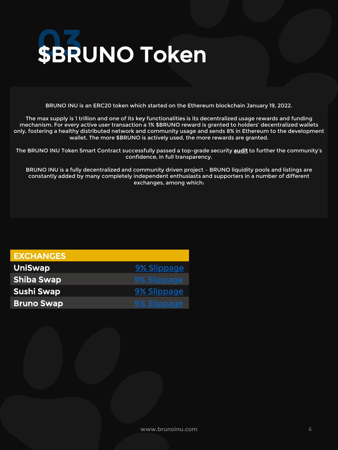

BRUNO INU is an ERC20 token which started on the Ethereum blockchain January 19, 2022.

The max supply is 1 trillion and one of its key functionalities is its decentralized usage rewards and funding mechanism. For every active user transaction a 1% \$BRUNO reward is granted to holders' decentralized wallets only, fostering a healthy distributed network and community usage and sends 8% in Ethereum to the development wallet. The more \$BRUNO is actively used, the more rewards are granted.

The BRUNO INU Token Smart Contract successfully passed a top-grade security **audit** to further the community's confidence, in full transparency.

BRUNO INU is a fully decentralized and community driven project – BRUNO liquidity pools and listings are constantly added by many completely independent enthusiasts and supporters in a number of different exchanges, among which:

| <b>EXCHANGES</b>  |             |
|-------------------|-------------|
| <b>UniSwap</b>    | 9% Slippage |
| <b>Shiba Swap</b> | 9% Slippage |
| <b>Sushi Swap</b> | 9% Slippage |
| <b>Bruno Swap</b> | 9% Slippage |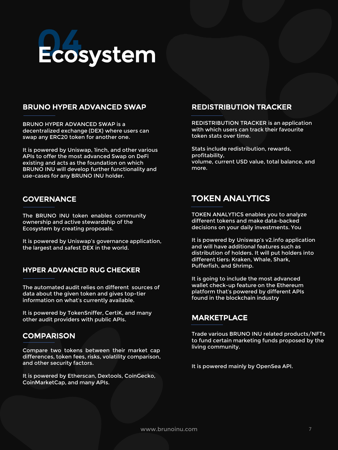

#### BRUNO HYPER ADVANCED SWAP

BRUNO HYPER ADVANCED SWAP is a decentralized exchange (DEX) where users can swap any ERC20 token for another one.

It is powered by Uniswap, 1inch, and other various APIs to offer the most advanced Swap on DeFi existing and acts as the foundation on which BRUNO INU will develop further functionality and use-cases for any BRUNO INU holder.

#### **GOVERNANCE**

The BRUNO INU token enables community ownership and active stewardship of the Ecosystem by creating proposals.

It is powered by Uniswap's governance application, the largest and safest DEX in the world.

#### HYPER ADVANCED RUG CHECKER

The automated audit relies on different sources of data about the given token and gives top-tier information on what's currently available.

It is powered by TokenSniffer, CertiK, and many other audit providers with public APIs.

#### **COMPARISON**

Compare two tokens between their market cap differences, token fees, risks, volatility comparison, and other security factors.

It is powered by Etherscan, Dextools, CoinGecko, CoinMarketCap, and many APIs.

#### REDISTRIBUTION TRACKER

REDISTRIBUTION TRACKER is an application with which users can track their favourite token stats over time.

Stats include redistribution, rewards, profitability, volume, current USD value, total balance, and more.

#### TOKEN ANALYTICS

TOKEN ANALYTICS enables you to analyze different tokens and make data-backed decisions on your daily investments. You

It is powered by Uniswap's v2.info application and will have additional features such as distribution of holders. It will put holders into different tiers: Kraken, Whale, Shark, Pufferfish, and Shrimp.

It is going to include the most advanced wallet check-up feature on the Ethereum platform that's powered by different APIs found in the blockchain industry

Trade various BRUNO INU related products/NFTs to fund certain marketing funds proposed by the living community.

It is powered mainly by OpenSea API.